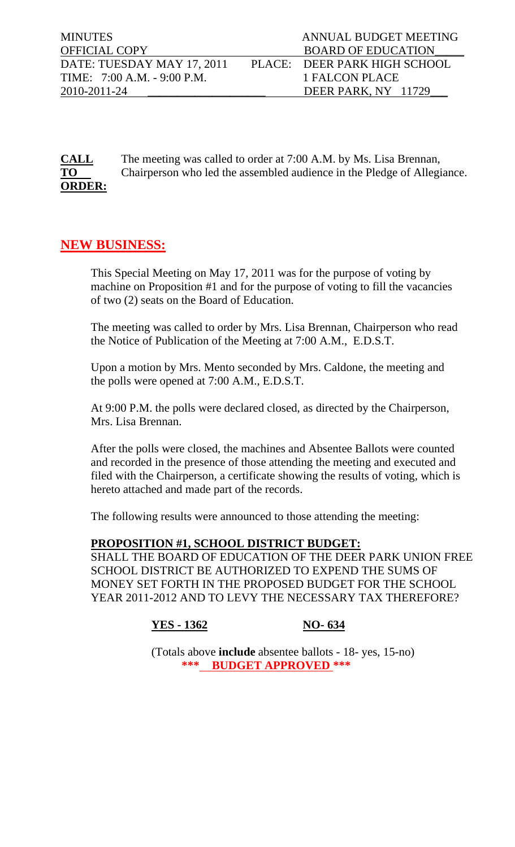| <b>MINUTES</b>                | ANNUAL BUDGET MEETING        |
|-------------------------------|------------------------------|
| <b>OFFICIAL COPY</b>          | <b>BOARD OF EDUCATION</b>    |
| DATE: TUESDAY MAY 17, 2011    | PLACE: DEER PARK HIGH SCHOOL |
| TIME: $7:00$ A.M. - 9:00 P.M. | 1 FALCON PLACE               |
| 2010-2011-24                  | DEER PARK, NY 11729          |

**CALL** The meeting was called to order at 7:00 A.M. by Ms. Lisa Brennan, **TO** Chairperson who led the assembled audience in the Pledge of Allegiance. **ORDER:**

## **NEW BUSINESS:**

This Special Meeting on May 17, 2011 was for the purpose of voting by machine on Proposition #1 and for the purpose of voting to fill the vacancies of two (2) seats on the Board of Education.

The meeting was called to order by Mrs. Lisa Brennan, Chairperson who read the Notice of Publication of the Meeting at 7:00 A.M., E.D.S.T.

Upon a motion by Mrs. Mento seconded by Mrs. Caldone, the meeting and the polls were opened at 7:00 A.M., E.D.S.T.

At 9:00 P.M. the polls were declared closed, as directed by the Chairperson, Mrs. Lisa Brennan.

After the polls were closed, the machines and Absentee Ballots were counted and recorded in the presence of those attending the meeting and executed and filed with the Chairperson, a certificate showing the results of voting, which is hereto attached and made part of the records.

The following results were announced to those attending the meeting:

## **PROPOSITION #1, SCHOOL DISTRICT BUDGET:**

SHALL THE BOARD OF EDUCATION OF THE DEER PARK UNION FREE SCHOOL DISTRICT BE AUTHORIZED TO EXPEND THE SUMS OF MONEY SET FORTH IN THE PROPOSED BUDGET FOR THE SCHOOL YEAR 2011-2012 AND TO LEVY THE NECESSARY TAX THEREFORE?

**YES - 1362 NO- 634** 

 (Totals above **include** absentee ballots - 18- yes, 15-no) **\*\*\* BUDGET APPROVED \*\*\***